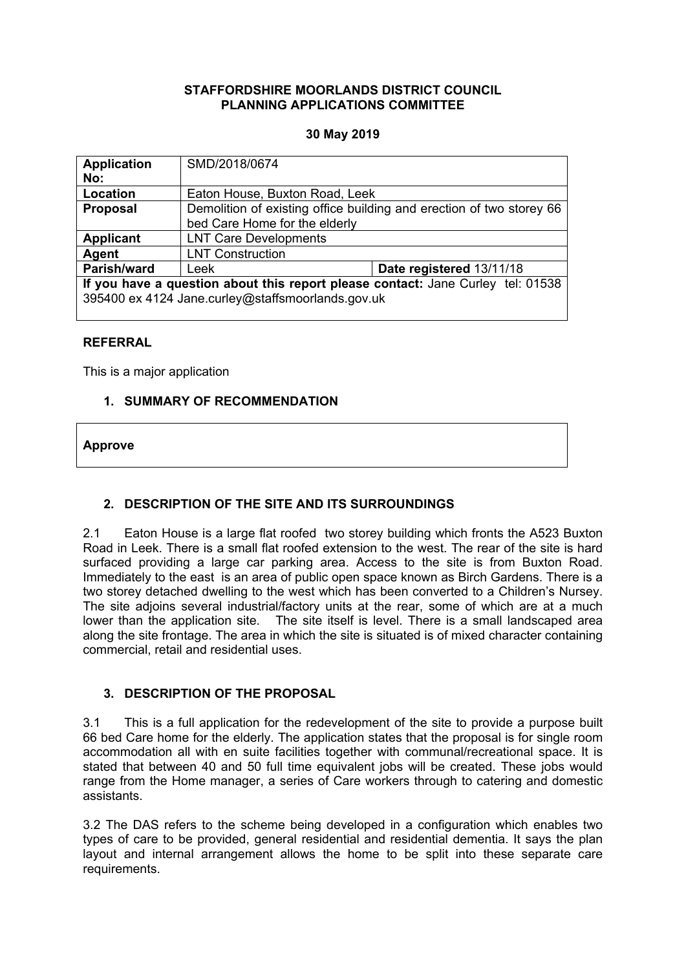### **STAFFORDSHIRE MOORLANDS DISTRICT COUNCIL PLANNING APPLICATIONS COMMITTEE**

### **30 May 2019**

| <b>Application</b><br>No:                                                                                                            | SMD/2018/0674                                                                                         |                          |
|--------------------------------------------------------------------------------------------------------------------------------------|-------------------------------------------------------------------------------------------------------|--------------------------|
| Location                                                                                                                             | Eaton House, Buxton Road, Leek                                                                        |                          |
| <b>Proposal</b>                                                                                                                      | Demolition of existing office building and erection of two storey 66<br>bed Care Home for the elderly |                          |
| <b>Applicant</b>                                                                                                                     | <b>LNT Care Developments</b>                                                                          |                          |
| Agent                                                                                                                                | <b>LNT Construction</b>                                                                               |                          |
| Parish/ward                                                                                                                          | Leek                                                                                                  | Date registered 13/11/18 |
| If you have a question about this report please contact: Jane Curley tel: 01538<br>395400 ex 4124 Jane.curley@staffsmoorlands.gov.uk |                                                                                                       |                          |

## **REFERRAL**

This is a major application

## **1. SUMMARY OF RECOMMENDATION**

### **Approve**

## **2. DESCRIPTION OF THE SITE AND ITS SURROUNDINGS**

2.1 Eaton House is a large flat roofed two storey building which fronts the A523 Buxton Road in Leek. There is a small flat roofed extension to the west. The rear of the site is hard surfaced providing a large car parking area. Access to the site is from Buxton Road. Immediately to the east is an area of public open space known as Birch Gardens. There is a two storey detached dwelling to the west which has been converted to a Children's Nursey. The site adjoins several industrial/factory units at the rear, some of which are at a much lower than the application site. The site itself is level. There is a small landscaped area along the site frontage. The area in which the site is situated is of mixed character containing commercial, retail and residential uses.

## **3. DESCRIPTION OF THE PROPOSAL**

3.1 This is a full application for the redevelopment of the site to provide a purpose built 66 bed Care home for the elderly. The application states that the proposal is for single room accommodation all with en suite facilities together with communal/recreational space. It is stated that between 40 and 50 full time equivalent jobs will be created. These jobs would range from the Home manager, a series of Care workers through to catering and domestic assistants.

3.2 The DAS refers to the scheme being developed in a configuration which enables two types of care to be provided, general residential and residential dementia. It says the plan layout and internal arrangement allows the home to be split into these separate care requirements.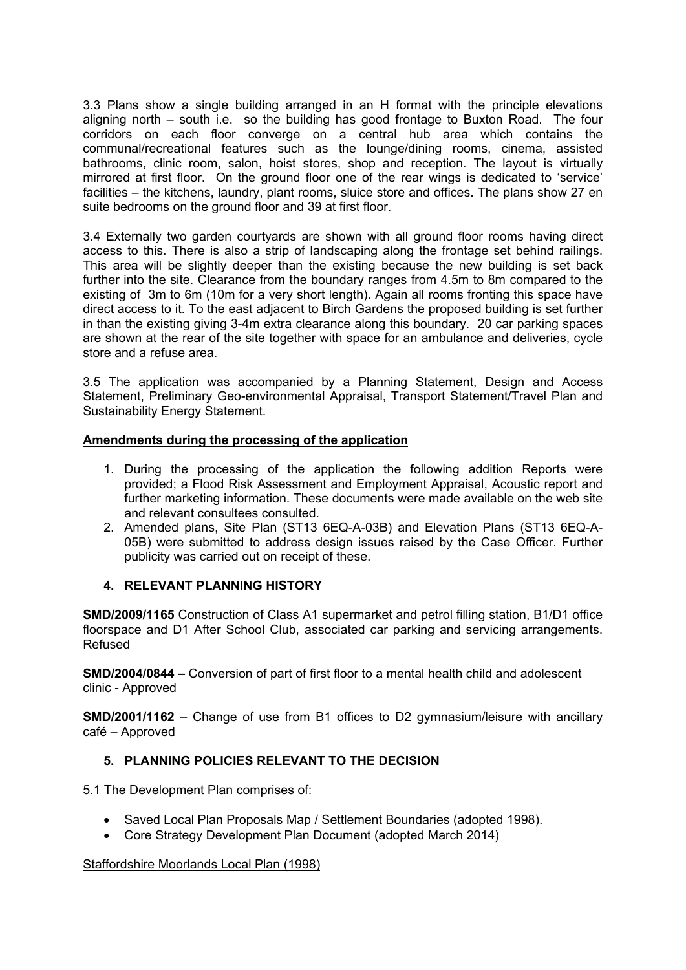3.3 Plans show a single building arranged in an H format with the principle elevations aligning north – south i.e. so the building has good frontage to Buxton Road. The four corridors on each floor converge on a central hub area which contains the communal/recreational features such as the lounge/dining rooms, cinema, assisted bathrooms, clinic room, salon, hoist stores, shop and reception. The layout is virtually mirrored at first floor. On the ground floor one of the rear wings is dedicated to 'service' facilities – the kitchens, laundry, plant rooms, sluice store and offices. The plans show 27 en suite bedrooms on the ground floor and 39 at first floor.

3.4 Externally two garden courtyards are shown with all ground floor rooms having direct access to this. There is also a strip of landscaping along the frontage set behind railings. This area will be slightly deeper than the existing because the new building is set back further into the site. Clearance from the boundary ranges from 4.5m to 8m compared to the existing of 3m to 6m (10m for a very short length). Again all rooms fronting this space have direct access to it. To the east adjacent to Birch Gardens the proposed building is set further in than the existing giving 3-4m extra clearance along this boundary. 20 car parking spaces are shown at the rear of the site together with space for an ambulance and deliveries, cycle store and a refuse area.

3.5 The application was accompanied by a Planning Statement, Design and Access Statement, Preliminary Geo-environmental Appraisal, Transport Statement/Travel Plan and Sustainability Energy Statement.

## **Amendments during the processing of the application**

- 1. During the processing of the application the following addition Reports were provided; a Flood Risk Assessment and Employment Appraisal, Acoustic report and further marketing information. These documents were made available on the web site and relevant consultees consulted.
- 2. Amended plans, Site Plan (ST13 6EQ-A-03B) and Elevation Plans (ST13 6EQ-A-05B) were submitted to address design issues raised by the Case Officer. Further publicity was carried out on receipt of these.

## **4. RELEVANT PLANNING HISTORY**

**SMD/2009/1165** Construction of Class A1 supermarket and petrol filling station, B1/D1 office floorspace and D1 After School Club, associated car parking and servicing arrangements. Refused

**SMD/2004/0844 –** Conversion of part of first floor to a mental health child and adolescent clinic - Approved

**SMD/2001/1162** – Change of use from B1 offices to D2 gymnasium/leisure with ancillary café – Approved

# **5. PLANNING POLICIES RELEVANT TO THE DECISION**

5.1 The Development Plan comprises of:

- Saved Local Plan Proposals Map / Settlement Boundaries (adopted 1998).
- Core Strategy Development Plan Document (adopted March 2014)

## Staffordshire Moorlands Local Plan (1998)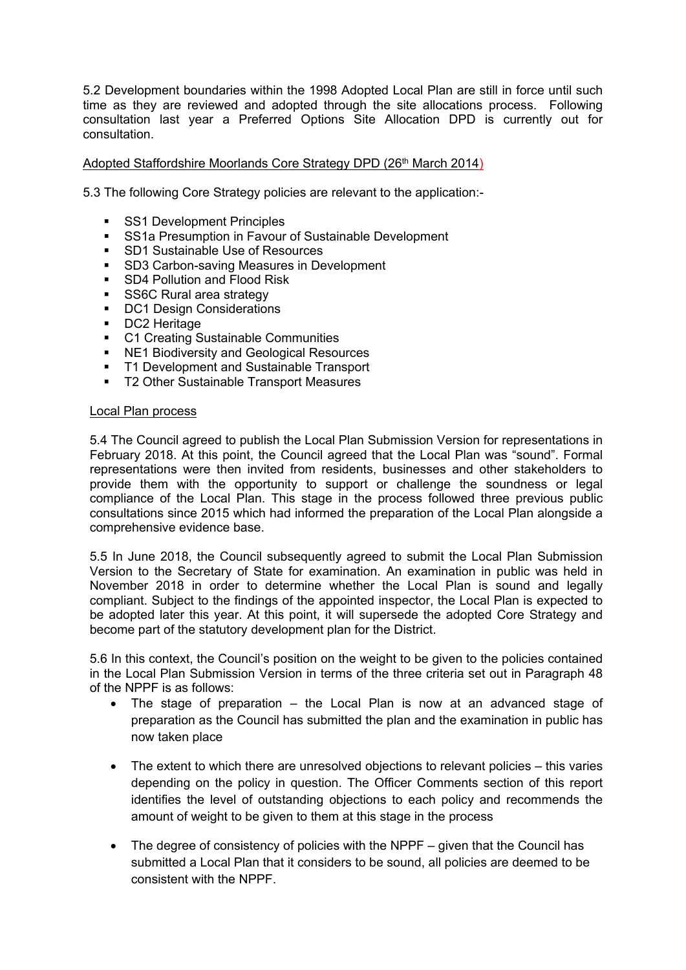5.2 Development boundaries within the 1998 Adopted Local Plan are still in force until such time as they are reviewed and adopted through the site allocations process. Following consultation last year a Preferred Options Site Allocation DPD is currently out for consultation.

## Adopted Staffordshire Moorlands Core Strategy DPD (26th March 2014)

5.3 The following Core Strategy policies are relevant to the application:-

- **SS1 Development Principles**
- **SS1a Presumption in Favour of Sustainable Development**
- **SD1 Sustainable Use of Resources**<br>SD3 Carbon-saving Measures in De
- SD3 Carbon-saving Measures in Development
- **SD4 Pollution and Flood Risk**
- SS6C Rural area strategy
- DC1 Design Considerations
- **DC2** Heritage
- C1 Creating Sustainable Communities
- NE1 Biodiversity and Geological Resources
- **T1 Development and Sustainable Transport**
- **T2 Other Sustainable Transport Measures**

### Local Plan process

5.4 The Council agreed to publish the Local Plan Submission Version for representations in February 2018. At this point, the Council agreed that the Local Plan was "sound". Formal representations were then invited from residents, businesses and other stakeholders to provide them with the opportunity to support or challenge the soundness or legal compliance of the Local Plan. This stage in the process followed three previous public consultations since 2015 which had informed the preparation of the Local Plan alongside a comprehensive evidence base.

5.5 In June 2018, the Council subsequently agreed to submit the Local Plan Submission Version to the Secretary of State for examination. An examination in public was held in November 2018 in order to determine whether the Local Plan is sound and legally compliant. Subject to the findings of the appointed inspector, the Local Plan is expected to be adopted later this year. At this point, it will supersede the adopted Core Strategy and become part of the statutory development plan for the District.

5.6 In this context, the Council's position on the weight to be given to the policies contained in the Local Plan Submission Version in terms of the three criteria set out in Paragraph 48 of the NPPF is as follows:

- The stage of preparation the Local Plan is now at an advanced stage of preparation as the Council has submitted the plan and the examination in public has now taken place
- The extent to which there are unresolved objections to relevant policies this varies depending on the policy in question. The Officer Comments section of this report identifies the level of outstanding objections to each policy and recommends the amount of weight to be given to them at this stage in the process
- The degree of consistency of policies with the NPPF given that the Council has submitted a Local Plan that it considers to be sound, all policies are deemed to be consistent with the NPPF.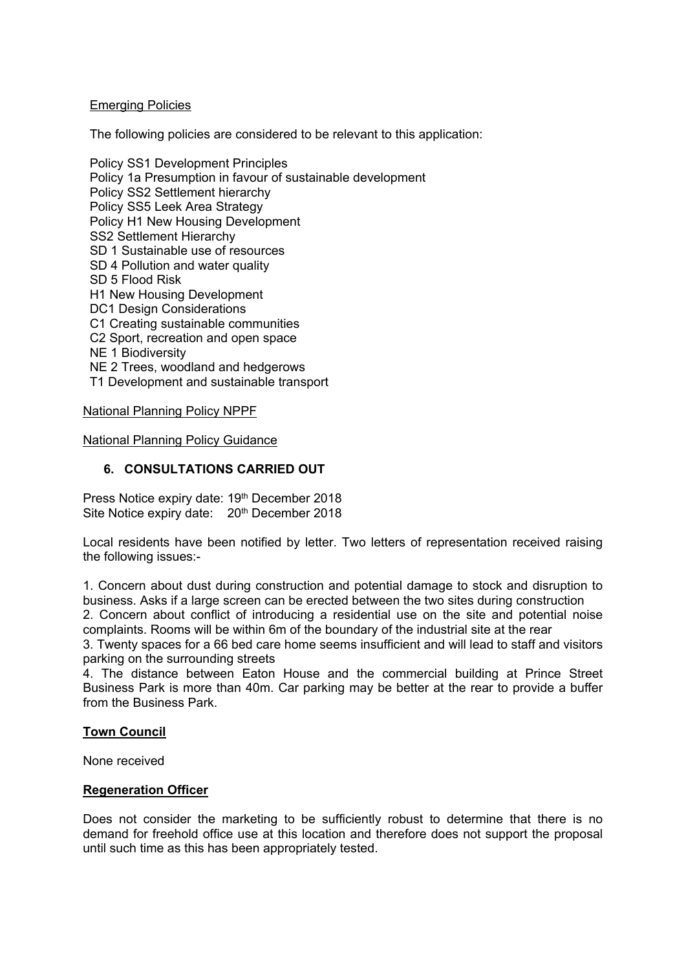## Emerging Policies

The following policies are considered to be relevant to this application:

Policy SS1 Development Principles Policy 1a Presumption in favour of sustainable development Policy SS2 Settlement hierarchy Policy SS5 Leek Area Strategy Policy H1 New Housing Development SS2 Settlement Hierarchy SD 1 Sustainable use of resources SD 4 Pollution and water quality SD 5 Flood Risk H1 New Housing Development DC1 Design Considerations C1 Creating sustainable communities C2 Sport, recreation and open space NE 1 Biodiversity NE 2 Trees, woodland and hedgerows T1 Development and sustainable transport National Planning Policy NPPF

National Planning Policy Guidance

## **6. CONSULTATIONS CARRIED OUT**

Press Notice expiry date: 19th December 2018 Site Notice expiry date: 20<sup>th</sup> December 2018

Local residents have been notified by letter. Two letters of representation received raising the following issues:-

1. Concern about dust during construction and potential damage to stock and disruption to business. Asks if a large screen can be erected between the two sites during construction

2. Concern about conflict of introducing a residential use on the site and potential noise complaints. Rooms will be within 6m of the boundary of the industrial site at the rear

3. Twenty spaces for a 66 bed care home seems insufficient and will lead to staff and visitors parking on the surrounding streets

4. The distance between Eaton House and the commercial building at Prince Street Business Park is more than 40m. Car parking may be better at the rear to provide a buffer from the Business Park.

## **Town Council**

None received

## **Regeneration Officer**

Does not consider the marketing to be sufficiently robust to determine that there is no demand for freehold office use at this location and therefore does not support the proposal until such time as this has been appropriately tested.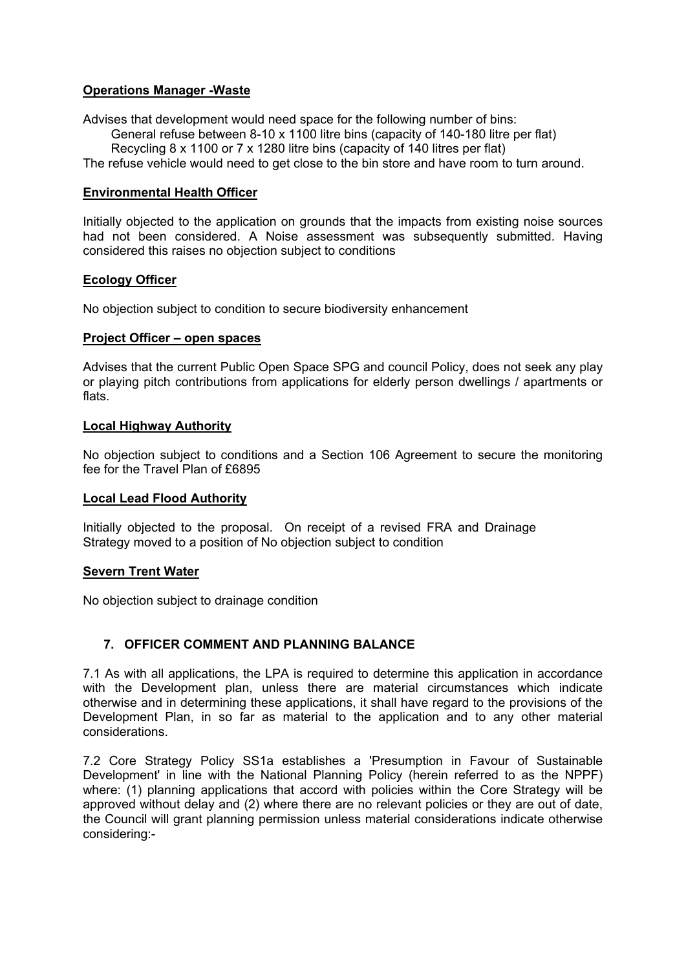## **Operations Manager -Waste**

Advises that development would need space for the following number of bins:

General refuse between 8-10 x 1100 litre bins (capacity of 140-180 litre per flat)

Recycling 8 x 1100 or 7 x 1280 litre bins (capacity of 140 litres per flat)

The refuse vehicle would need to get close to the bin store and have room to turn around.

## **Environmental Health Officer**

Initially objected to the application on grounds that the impacts from existing noise sources had not been considered. A Noise assessment was subsequently submitted. Having considered this raises no objection subject to conditions

## **Ecology Officer**

No objection subject to condition to secure biodiversity enhancement

## **Project Officer – open spaces**

Advises that the current Public Open Space SPG and council Policy, does not seek any play or playing pitch contributions from applications for elderly person dwellings / apartments or flats.

## **Local Highway Authority**

No objection subject to conditions and a Section 106 Agreement to secure the monitoring fee for the Travel Plan of £6895

## **Local Lead Flood Authority**

Initially objected to the proposal. On receipt of a revised FRA and Drainage Strategy moved to a position of No objection subject to condition

## **Severn Trent Water**

No objection subject to drainage condition

## **7. OFFICER COMMENT AND PLANNING BALANCE**

7.1 As with all applications, the LPA is required to determine this application in accordance with the Development plan, unless there are material circumstances which indicate otherwise and in determining these applications, it shall have regard to the provisions of the Development Plan, in so far as material to the application and to any other material considerations.

7.2 Core Strategy Policy SS1a establishes a 'Presumption in Favour of Sustainable Development' in line with the National Planning Policy (herein referred to as the NPPF) where: (1) planning applications that accord with policies within the Core Strategy will be approved without delay and (2) where there are no relevant policies or they are out of date, the Council will grant planning permission unless material considerations indicate otherwise considering:-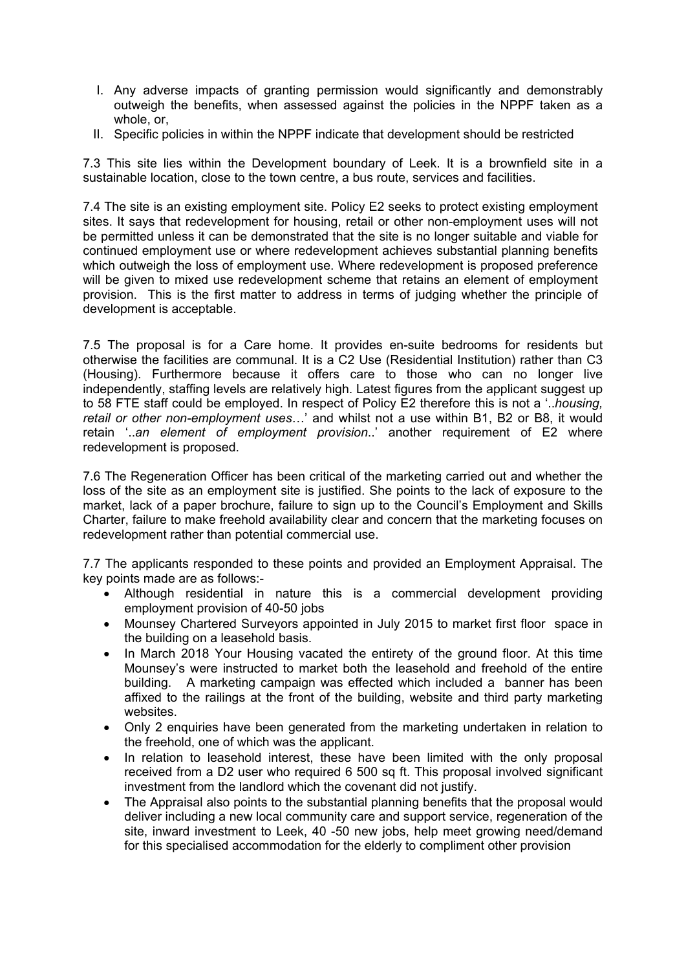- I. Any adverse impacts of granting permission would significantly and demonstrably outweigh the benefits, when assessed against the policies in the NPPF taken as a whole, or,
- II. Specific policies in within the NPPF indicate that development should be restricted

7.3 This site lies within the Development boundary of Leek. It is a brownfield site in a sustainable location, close to the town centre, a bus route, services and facilities.

7.4 The site is an existing employment site. Policy E2 seeks to protect existing employment sites. It says that redevelopment for housing, retail or other non-employment uses will not be permitted unless it can be demonstrated that the site is no longer suitable and viable for continued employment use or where redevelopment achieves substantial planning benefits which outweigh the loss of employment use. Where redevelopment is proposed preference will be given to mixed use redevelopment scheme that retains an element of employment provision. This is the first matter to address in terms of judging whether the principle of development is acceptable.

7.5 The proposal is for a Care home. It provides en-suite bedrooms for residents but otherwise the facilities are communal. It is a C2 Use (Residential Institution) rather than C3 (Housing). Furthermore because it offers care to those who can no longer live independently, staffing levels are relatively high. Latest figures from the applicant suggest up to 58 FTE staff could be employed. In respect of Policy E2 therefore this is not a '..*housing, retail or other non-employment uses*…' and whilst not a use within B1, B2 or B8, it would retain '..*an element of employment provision*..' another requirement of E2 where redevelopment is proposed.

7.6 The Regeneration Officer has been critical of the marketing carried out and whether the loss of the site as an employment site is justified. She points to the lack of exposure to the market, lack of a paper brochure, failure to sign up to the Council's Employment and Skills Charter, failure to make freehold availability clear and concern that the marketing focuses on redevelopment rather than potential commercial use.

7.7 The applicants responded to these points and provided an Employment Appraisal. The key points made are as follows:-

- Although residential in nature this is a commercial development providing employment provision of 40-50 jobs
- Mounsey Chartered Surveyors appointed in July 2015 to market first floor space in the building on a leasehold basis.
- In March 2018 Your Housing vacated the entirety of the ground floor. At this time Mounsey's were instructed to market both the leasehold and freehold of the entire building. A marketing campaign was effected which included a banner has been affixed to the railings at the front of the building, website and third party marketing websites.
- Only 2 enquiries have been generated from the marketing undertaken in relation to the freehold, one of which was the applicant.
- In relation to leasehold interest, these have been limited with the only proposal received from a D2 user who required 6 500 sq ft. This proposal involved significant investment from the landlord which the covenant did not justify.
- The Appraisal also points to the substantial planning benefits that the proposal would deliver including a new local community care and support service, regeneration of the site, inward investment to Leek, 40 -50 new jobs, help meet growing need/demand for this specialised accommodation for the elderly to compliment other provision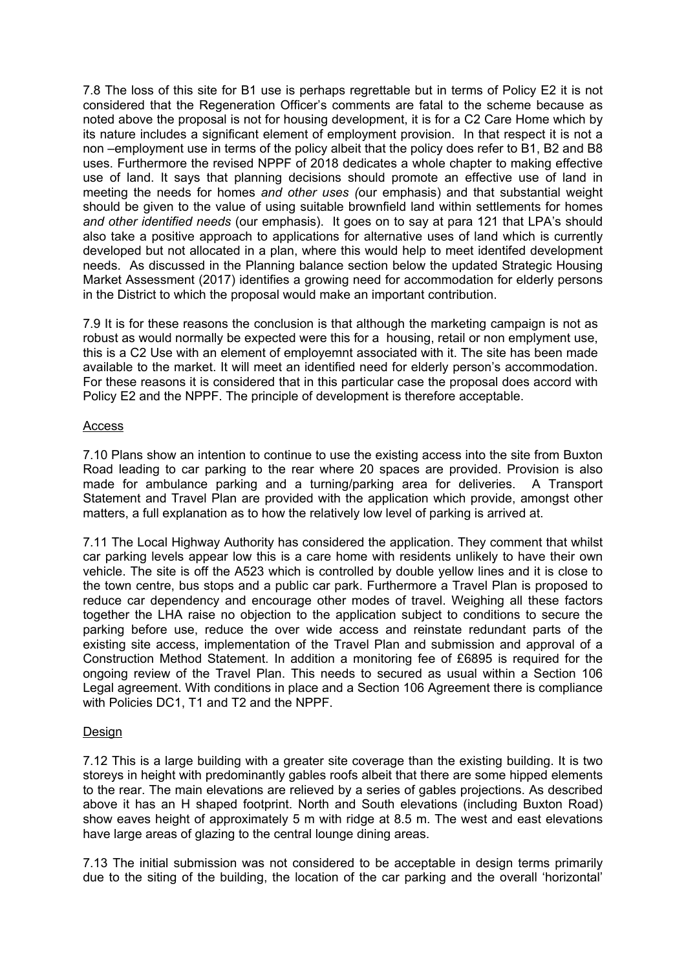7.8 The loss of this site for B1 use is perhaps regrettable but in terms of Policy E2 it is not considered that the Regeneration Officer's comments are fatal to the scheme because as noted above the proposal is not for housing development, it is for a C2 Care Home which by its nature includes a significant element of employment provision. In that respect it is not a non –employment use in terms of the policy albeit that the policy does refer to B1, B2 and B8 uses. Furthermore the revised NPPF of 2018 dedicates a whole chapter to making effective use of land. It says that planning decisions should promote an effective use of land in meeting the needs for homes *and other uses (*our emphasis) and that substantial weight should be given to the value of using suitable brownfield land within settlements for homes *and other identified needs* (our emphasis). It goes on to say at para 121 that LPA's should also take a positive approach to applications for alternative uses of land which is currently developed but not allocated in a plan, where this would help to meet identifed development needs. As discussed in the Planning balance section below the updated Strategic Housing Market Assessment (2017) identifies a growing need for accommodation for elderly persons in the District to which the proposal would make an important contribution.

7.9 It is for these reasons the conclusion is that although the marketing campaign is not as robust as would normally be expected were this for a housing, retail or non emplyment use, this is a C2 Use with an element of employemnt associated with it. The site has been made available to the market. It will meet an identified need for elderly person's accommodation. For these reasons it is considered that in this particular case the proposal does accord with Policy E2 and the NPPF. The principle of development is therefore acceptable.

### Access

7.10 Plans show an intention to continue to use the existing access into the site from Buxton Road leading to car parking to the rear where 20 spaces are provided. Provision is also made for ambulance parking and a turning/parking area for deliveries. A Transport Statement and Travel Plan are provided with the application which provide, amongst other matters, a full explanation as to how the relatively low level of parking is arrived at.

7.11 The Local Highway Authority has considered the application. They comment that whilst car parking levels appear low this is a care home with residents unlikely to have their own vehicle. The site is off the A523 which is controlled by double yellow lines and it is close to the town centre, bus stops and a public car park. Furthermore a Travel Plan is proposed to reduce car dependency and encourage other modes of travel. Weighing all these factors together the LHA raise no objection to the application subject to conditions to secure the parking before use, reduce the over wide access and reinstate redundant parts of the existing site access, implementation of the Travel Plan and submission and approval of a Construction Method Statement. In addition a monitoring fee of £6895 is required for the ongoing review of the Travel Plan. This needs to secured as usual within a Section 106 Legal agreement. With conditions in place and a Section 106 Agreement there is compliance with Policies DC1, T1 and T2 and the NPPF.

## Design

7.12 This is a large building with a greater site coverage than the existing building. It is two storeys in height with predominantly gables roofs albeit that there are some hipped elements to the rear. The main elevations are relieved by a series of gables projections. As described above it has an H shaped footprint. North and South elevations (including Buxton Road) show eaves height of approximately 5 m with ridge at 8.5 m. The west and east elevations have large areas of glazing to the central lounge dining areas.

7.13 The initial submission was not considered to be acceptable in design terms primarily due to the siting of the building, the location of the car parking and the overall 'horizontal'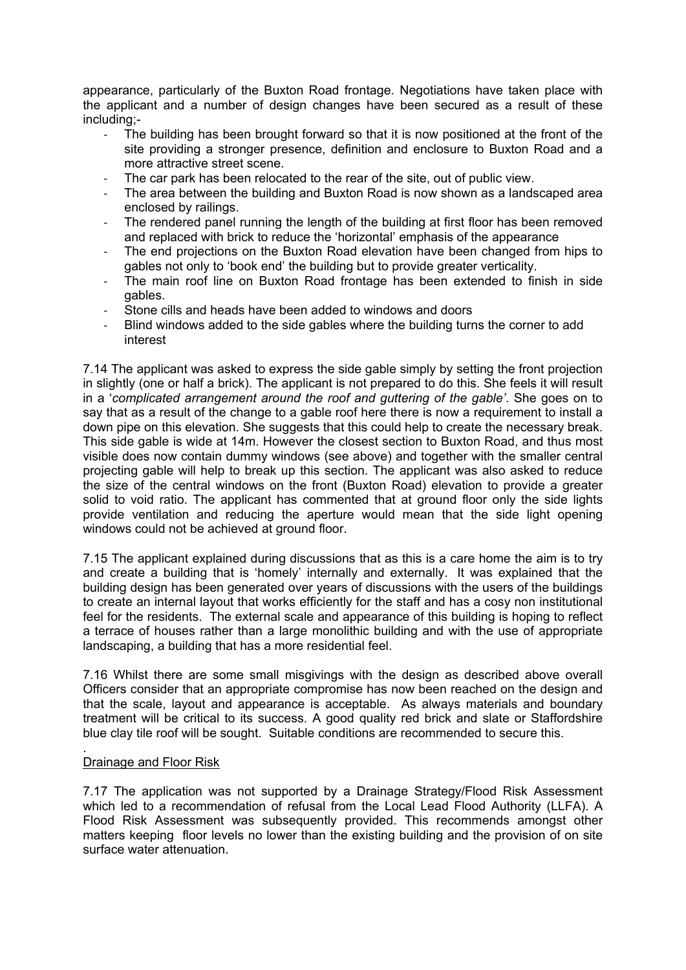appearance, particularly of the Buxton Road frontage. Negotiations have taken place with the applicant and a number of design changes have been secured as a result of these including;-

- The building has been brought forward so that it is now positioned at the front of the site providing a stronger presence, definition and enclosure to Buxton Road and a more attractive street scene.
- The car park has been relocated to the rear of the site, out of public view.
- The area between the building and Buxton Road is now shown as a landscaped area enclosed by railings.
- The rendered panel running the length of the building at first floor has been removed and replaced with brick to reduce the 'horizontal' emphasis of the appearance
- The end projections on the Buxton Road elevation have been changed from hips to gables not only to 'book end' the building but to provide greater verticality.
- The main roof line on Buxton Road frontage has been extended to finish in side gables.
- Stone cills and heads have been added to windows and doors
- Blind windows added to the side gables where the building turns the corner to add interest

7.14 The applicant was asked to express the side gable simply by setting the front projection in slightly (one or half a brick). The applicant is not prepared to do this. She feels it will result in a '*complicated arrangement around the roof and guttering of the gable'*. She goes on to say that as a result of the change to a gable roof here there is now a requirement to install a down pipe on this elevation. She suggests that this could help to create the necessary break. This side gable is wide at 14m. However the closest section to Buxton Road, and thus most visible does now contain dummy windows (see above) and together with the smaller central projecting gable will help to break up this section. The applicant was also asked to reduce the size of the central windows on the front (Buxton Road) elevation to provide a greater solid to void ratio. The applicant has commented that at ground floor only the side lights provide ventilation and reducing the aperture would mean that the side light opening windows could not be achieved at ground floor.

7.15 The applicant explained during discussions that as this is a care home the aim is to try and create a building that is 'homely' internally and externally. It was explained that the building design has been generated over years of discussions with the users of the buildings to create an internal layout that works efficiently for the staff and has a cosy non institutional feel for the residents. The external scale and appearance of this building is hoping to reflect a terrace of houses rather than a large monolithic building and with the use of appropriate landscaping, a building that has a more residential feel.

7.16 Whilst there are some small misgivings with the design as described above overall Officers consider that an appropriate compromise has now been reached on the design and that the scale, layout and appearance is acceptable. As always materials and boundary treatment will be critical to its success. A good quality red brick and slate or Staffordshire blue clay tile roof will be sought. Suitable conditions are recommended to secure this.

#### Drainage and Floor Risk

.

7.17 The application was not supported by a Drainage Strategy/Flood Risk Assessment which led to a recommendation of refusal from the Local Lead Flood Authority (LLFA). A Flood Risk Assessment was subsequently provided. This recommends amongst other matters keeping floor levels no lower than the existing building and the provision of on site surface water attenuation.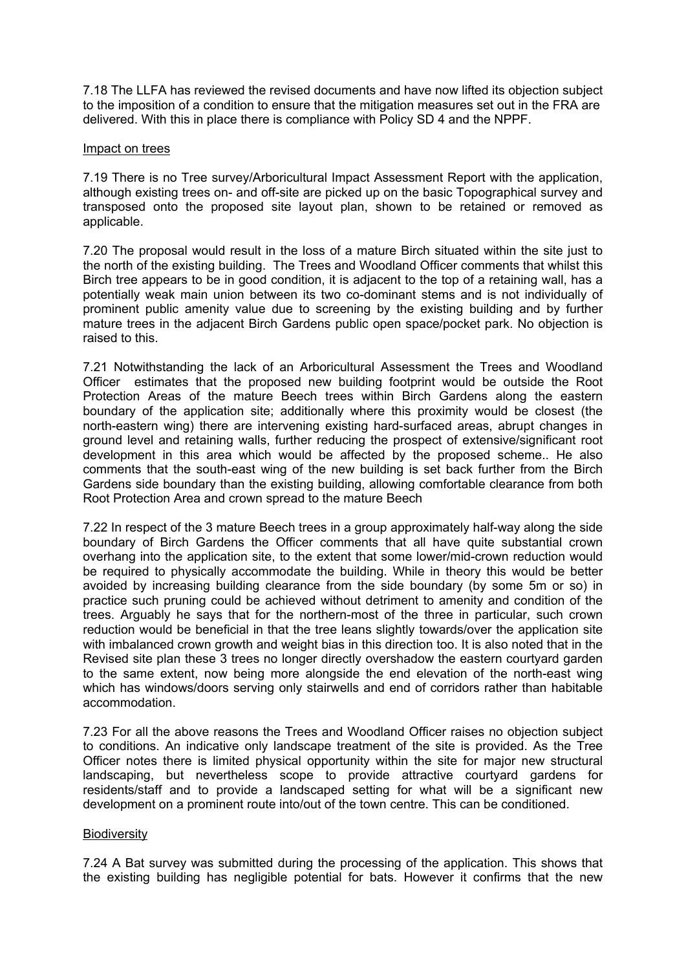7.18 The LLFA has reviewed the revised documents and have now lifted its objection subject to the imposition of a condition to ensure that the mitigation measures set out in the FRA are delivered. With this in place there is compliance with Policy SD 4 and the NPPF.

### Impact on trees

7.19 There is no Tree survey/Arboricultural Impact Assessment Report with the application, although existing trees on- and off-site are picked up on the basic Topographical survey and transposed onto the proposed site layout plan, shown to be retained or removed as applicable.

7.20 The proposal would result in the loss of a mature Birch situated within the site just to the north of the existing building. The Trees and Woodland Officer comments that whilst this Birch tree appears to be in good condition, it is adjacent to the top of a retaining wall, has a potentially weak main union between its two co-dominant stems and is not individually of prominent public amenity value due to screening by the existing building and by further mature trees in the adjacent Birch Gardens public open space/pocket park. No objection is raised to this.

7.21 Notwithstanding the lack of an Arboricultural Assessment the Trees and Woodland Officer estimates that the proposed new building footprint would be outside the Root Protection Areas of the mature Beech trees within Birch Gardens along the eastern boundary of the application site; additionally where this proximity would be closest (the north-eastern wing) there are intervening existing hard-surfaced areas, abrupt changes in ground level and retaining walls, further reducing the prospect of extensive/significant root development in this area which would be affected by the proposed scheme.. He also comments that the south-east wing of the new building is set back further from the Birch Gardens side boundary than the existing building, allowing comfortable clearance from both Root Protection Area and crown spread to the mature Beech

7.22 In respect of the 3 mature Beech trees in a group approximately half-way along the side boundary of Birch Gardens the Officer comments that all have quite substantial crown overhang into the application site, to the extent that some lower/mid-crown reduction would be required to physically accommodate the building. While in theory this would be better avoided by increasing building clearance from the side boundary (by some 5m or so) in practice such pruning could be achieved without detriment to amenity and condition of the trees. Arguably he says that for the northern-most of the three in particular, such crown reduction would be beneficial in that the tree leans slightly towards/over the application site with imbalanced crown growth and weight bias in this direction too. It is also noted that in the Revised site plan these 3 trees no longer directly overshadow the eastern courtyard garden to the same extent, now being more alongside the end elevation of the north-east wing which has windows/doors serving only stairwells and end of corridors rather than habitable accommodation.

7.23 For all the above reasons the Trees and Woodland Officer raises no objection subject to conditions. An indicative only landscape treatment of the site is provided. As the Tree Officer notes there is limited physical opportunity within the site for major new structural landscaping, but nevertheless scope to provide attractive courtyard gardens for residents/staff and to provide a landscaped setting for what will be a significant new development on a prominent route into/out of the town centre. This can be conditioned.

## **Biodiversity**

7.24 A Bat survey was submitted during the processing of the application. This shows that the existing building has negligible potential for bats. However it confirms that the new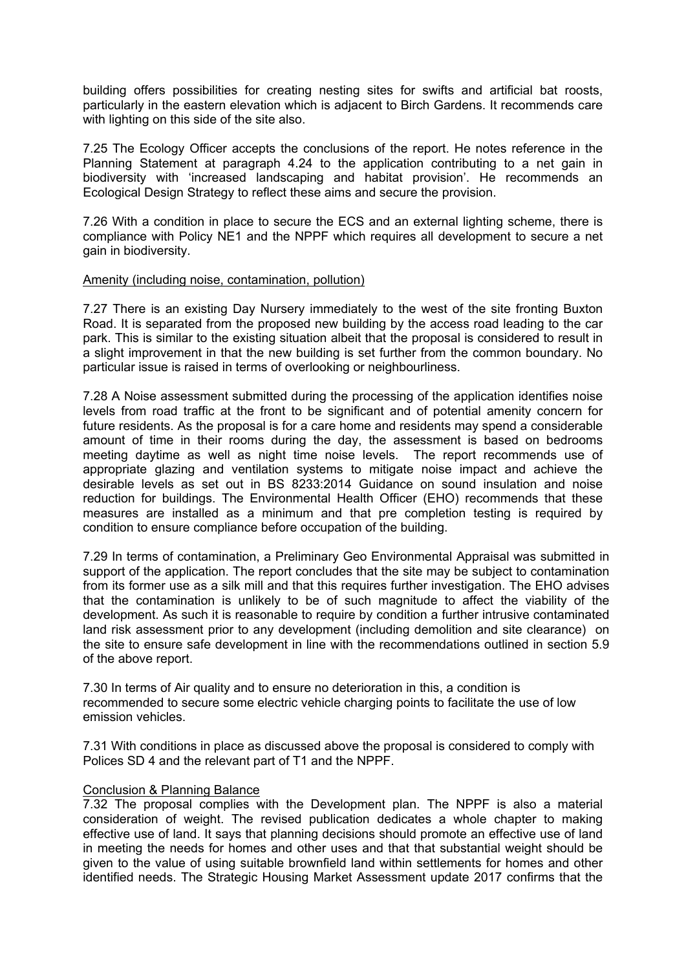building offers possibilities for creating nesting sites for swifts and artificial bat roosts, particularly in the eastern elevation which is adjacent to Birch Gardens. It recommends care with lighting on this side of the site also.

7.25 The Ecology Officer accepts the conclusions of the report. He notes reference in the Planning Statement at paragraph 4.24 to the application contributing to a net gain in biodiversity with 'increased landscaping and habitat provision'. He recommends an Ecological Design Strategy to reflect these aims and secure the provision.

7.26 With a condition in place to secure the ECS and an external lighting scheme, there is compliance with Policy NE1 and the NPPF which requires all development to secure a net gain in biodiversity.

### Amenity (including noise, contamination, pollution)

7.27 There is an existing Day Nursery immediately to the west of the site fronting Buxton Road. It is separated from the proposed new building by the access road leading to the car park. This is similar to the existing situation albeit that the proposal is considered to result in a slight improvement in that the new building is set further from the common boundary. No particular issue is raised in terms of overlooking or neighbourliness.

7.28 A Noise assessment submitted during the processing of the application identifies noise levels from road traffic at the front to be significant and of potential amenity concern for future residents. As the proposal is for a care home and residents may spend a considerable amount of time in their rooms during the day, the assessment is based on bedrooms meeting daytime as well as night time noise levels. The report recommends use of appropriate glazing and ventilation systems to mitigate noise impact and achieve the desirable levels as set out in BS 8233:2014 Guidance on sound insulation and noise reduction for buildings. The Environmental Health Officer (EHO) recommends that these measures are installed as a minimum and that pre completion testing is required by condition to ensure compliance before occupation of the building.

7.29 In terms of contamination, a Preliminary Geo Environmental Appraisal was submitted in support of the application. The report concludes that the site may be subject to contamination from its former use as a silk mill and that this requires further investigation. The EHO advises that the contamination is unlikely to be of such magnitude to affect the viability of the development. As such it is reasonable to require by condition a further intrusive contaminated land risk assessment prior to any development (including demolition and site clearance) on the site to ensure safe development in line with the recommendations outlined in section 5.9 of the above report.

7.30 In terms of Air quality and to ensure no deterioration in this, a condition is recommended to secure some electric vehicle charging points to facilitate the use of low emission vehicles.

7.31 With conditions in place as discussed above the proposal is considered to comply with Polices SD 4 and the relevant part of T1 and the NPPF.

#### Conclusion & Planning Balance

7.32 The proposal complies with the Development plan. The NPPF is also a material consideration of weight. The revised publication dedicates a whole chapter to making effective use of land. It says that planning decisions should promote an effective use of land in meeting the needs for homes and other uses and that that substantial weight should be given to the value of using suitable brownfield land within settlements for homes and other identified needs. The Strategic Housing Market Assessment update 2017 confirms that the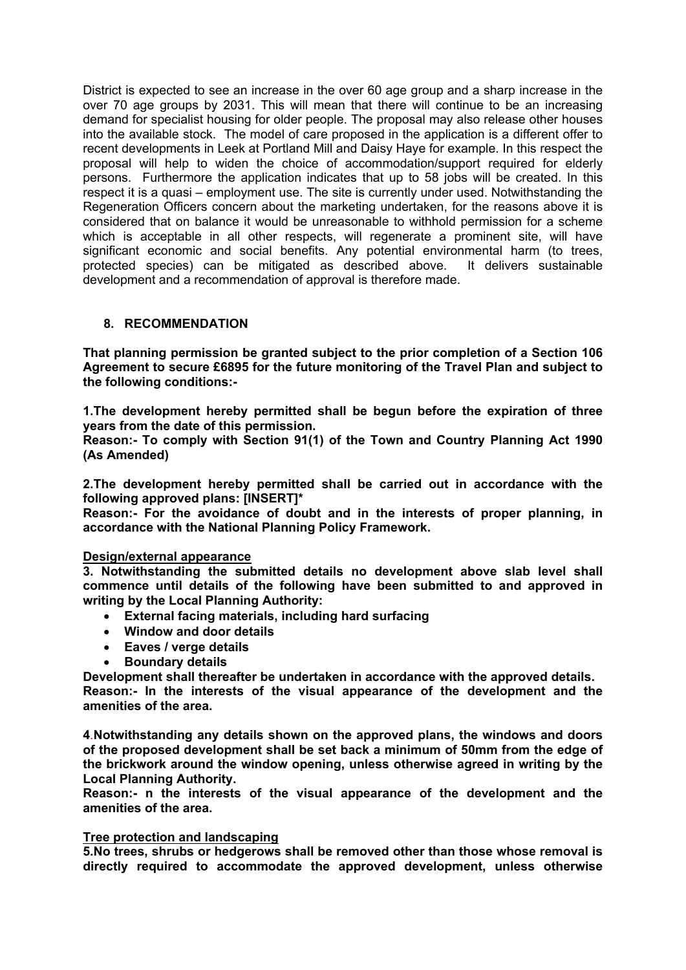District is expected to see an increase in the over 60 age group and a sharp increase in the over 70 age groups by 2031. This will mean that there will continue to be an increasing demand for specialist housing for older people. The proposal may also release other houses into the available stock. The model of care proposed in the application is a different offer to recent developments in Leek at Portland Mill and Daisy Haye for example. In this respect the proposal will help to widen the choice of accommodation/support required for elderly persons. Furthermore the application indicates that up to 58 jobs will be created. In this respect it is a quasi – employment use. The site is currently under used. Notwithstanding the Regeneration Officers concern about the marketing undertaken, for the reasons above it is considered that on balance it would be unreasonable to withhold permission for a scheme which is acceptable in all other respects, will regenerate a prominent site, will have significant economic and social benefits. Any potential environmental harm (to trees, protected species) can be mitigated as described above. It delivers sustainable development and a recommendation of approval is therefore made.

## **8. RECOMMENDATION**

**That planning permission be granted subject to the prior completion of a Section 106 Agreement to secure £6895 for the future monitoring of the Travel Plan and subject to the following conditions:-**

**1.The development hereby permitted shall be begun before the expiration of three years from the date of this permission.**

**Reason:- To comply with Section 91(1) of the Town and Country Planning Act 1990 (As Amended)**

**2.The development hereby permitted shall be carried out in accordance with the following approved plans: [INSERT]\***

**Reason:- For the avoidance of doubt and in the interests of proper planning, in accordance with the National Planning Policy Framework.**

## **Design/external appearance**

**3. Notwithstanding the submitted details no development above slab level shall commence until details of the following have been submitted to and approved in writing by the Local Planning Authority:**

- **External facing materials, including hard surfacing**
- **Window and door details**
- **Eaves / verge details**
- **Boundary details**

**Development shall thereafter be undertaken in accordance with the approved details.**

**Reason:- In the interests of the visual appearance of the development and the amenities of the area.**

**4**.**Notwithstanding any details shown on the approved plans, the windows and doors of the proposed development shall be set back a minimum of 50mm from the edge of the brickwork around the window opening, unless otherwise agreed in writing by the Local Planning Authority.** 

**Reason:- n the interests of the visual appearance of the development and the amenities of the area.**

### **Tree protection and landscaping**

**5.No trees, shrubs or hedgerows shall be removed other than those whose removal is directly required to accommodate the approved development, unless otherwise**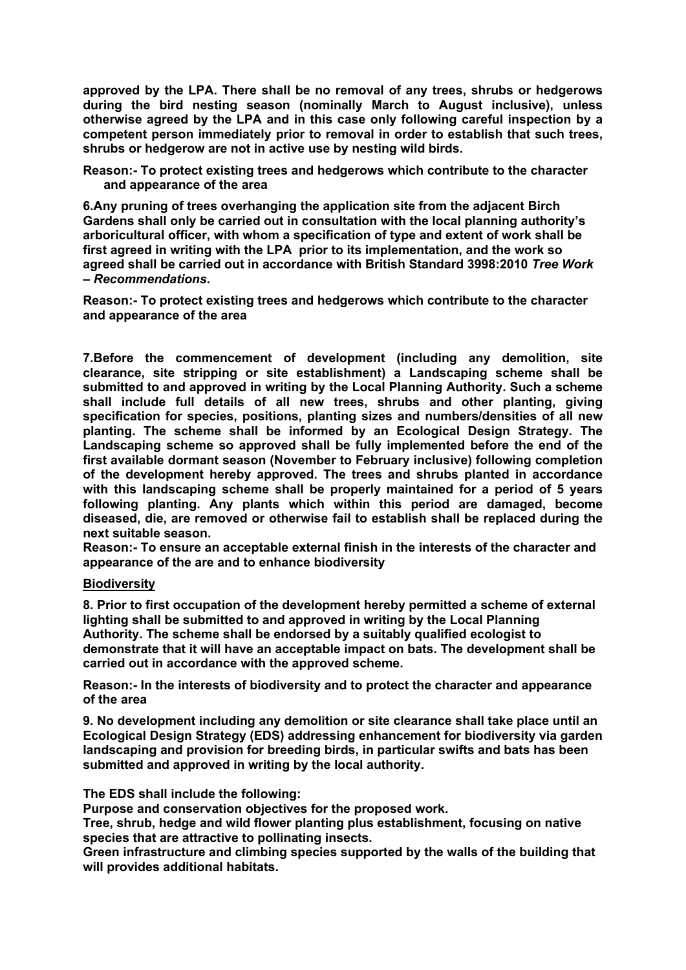**approved by the LPA. There shall be no removal of any trees, shrubs or hedgerows during the bird nesting season (nominally March to August inclusive), unless otherwise agreed by the LPA and in this case only following careful inspection by a competent person immediately prior to removal in order to establish that such trees, shrubs or hedgerow are not in active use by nesting wild birds.**

**Reason:- To protect existing trees and hedgerows which contribute to the character and appearance of the area**

**6.Any pruning of trees overhanging the application site from the adjacent Birch Gardens shall only be carried out in consultation with the local planning authority's arboricultural officer, with whom a specification of type and extent of work shall be first agreed in writing with the LPA prior to its implementation, and the work so agreed shall be carried out in accordance with British Standard 3998:2010** *Tree Work – Recommendations***.**

**Reason:- To protect existing trees and hedgerows which contribute to the character and appearance of the area**

**7.Before the commencement of development (including any demolition, site clearance, site stripping or site establishment) a Landscaping scheme shall be submitted to and approved in writing by the Local Planning Authority. Such a scheme shall include full details of all new trees, shrubs and other planting, giving specification for species, positions, planting sizes and numbers/densities of all new planting. The scheme shall be informed by an Ecological Design Strategy. The Landscaping scheme so approved shall be fully implemented before the end of the first available dormant season (November to February inclusive) following completion of the development hereby approved. The trees and shrubs planted in accordance with this landscaping scheme shall be properly maintained for a period of 5 years following planting. Any plants which within this period are damaged, become diseased, die, are removed or otherwise fail to establish shall be replaced during the next suitable season.**

**Reason:- To ensure an acceptable external finish in the interests of the character and appearance of the are and to enhance biodiversity**

#### **Biodiversity**

**8. Prior to first occupation of the development hereby permitted a scheme of external lighting shall be submitted to and approved in writing by the Local Planning Authority. The scheme shall be endorsed by a suitably qualified ecologist to demonstrate that it will have an acceptable impact on bats. The development shall be carried out in accordance with the approved scheme.**

**Reason:- In the interests of biodiversity and to protect the character and appearance of the area**

**9. No development including any demolition or site clearance shall take place until an Ecological Design Strategy (EDS) addressing enhancement for biodiversity via garden landscaping and provision for breeding birds, in particular swifts and bats has been submitted and approved in writing by the local authority.**

**The EDS shall include the following:**

**Purpose and conservation objectives for the proposed work.**

**Tree, shrub, hedge and wild flower planting plus establishment, focusing on native species that are attractive to pollinating insects.**

**Green infrastructure and climbing species supported by the walls of the building that will provides additional habitats.**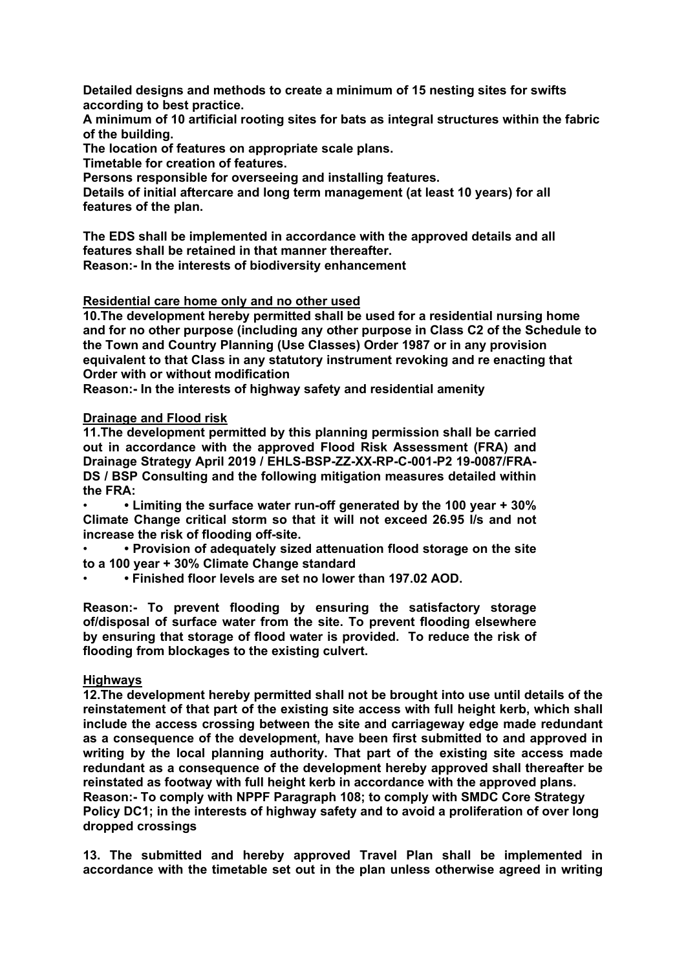**Detailed designs and methods to create a minimum of 15 nesting sites for swifts according to best practice.**

**A minimum of 10 artificial rooting sites for bats as integral structures within the fabric of the building.**

**The location of features on appropriate scale plans.**

**Timetable for creation of features.**

**Persons responsible for overseeing and installing features.**

**Details of initial aftercare and long term management (at least 10 years) for all features of the plan.**

**The EDS shall be implemented in accordance with the approved details and all features shall be retained in that manner thereafter. Reason:- In the interests of biodiversity enhancement**

#### **Residential care home only and no other used**

**10.The development hereby permitted shall be used for a residential nursing home and for no other purpose (including any other purpose in Class C2 of the Schedule to the Town and Country Planning (Use Classes) Order 1987 or in any provision equivalent to that Class in any statutory instrument revoking and re enacting that Order with or without modification**

**Reason:- In the interests of highway safety and residential amenity**

### **Drainage and Flood risk**

**11.The development permitted by this planning permission shall be carried out in accordance with the approved Flood Risk Assessment (FRA) and Drainage Strategy April 2019 / EHLS-BSP-ZZ-XX-RP-C-001-P2 19-0087/FRA-DS / BSP Consulting and the following mitigation measures detailed within the FRA:**

• **• Limiting the surface water run-off generated by the 100 year + 30% Climate Change critical storm so that it will not exceed 26.95 l/s and not increase the risk of flooding off-site.**

• **• Provision of adequately sized attenuation flood storage on the site to a 100 year + 30% Climate Change standard**

• **• Finished floor levels are set no lower than 197.02 AOD.**

**Reason:- To prevent flooding by ensuring the satisfactory storage of/disposal of surface water from the site. To prevent flooding elsewhere by ensuring that storage of flood water is provided. To reduce the risk of flooding from blockages to the existing culvert.**

### **Highways**

**12.The development hereby permitted shall not be brought into use until details of the reinstatement of that part of the existing site access with full height kerb, which shall include the access crossing between the site and carriageway edge made redundant as a consequence of the development, have been first submitted to and approved in writing by the local planning authority. That part of the existing site access made redundant as a consequence of the development hereby approved shall thereafter be reinstated as footway with full height kerb in accordance with the approved plans. Reason:- To comply with NPPF Paragraph 108; to comply with SMDC Core Strategy Policy DC1; in the interests of highway safety and to avoid a proliferation of over long dropped crossings**

**13. The submitted and hereby approved Travel Plan shall be implemented in accordance with the timetable set out in the plan unless otherwise agreed in writing**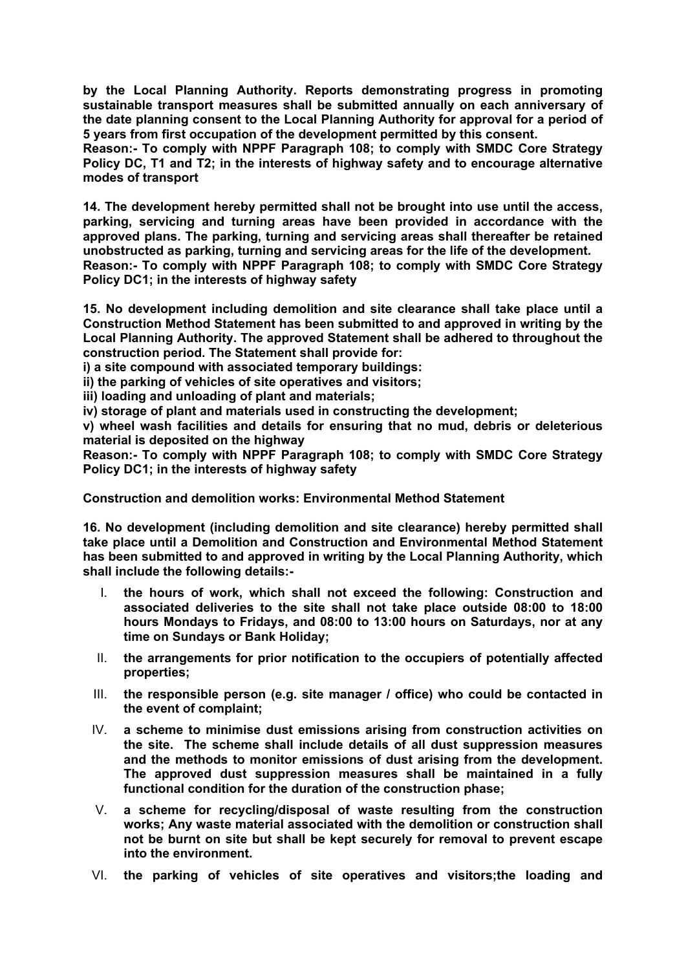**by the Local Planning Authority. Reports demonstrating progress in promoting sustainable transport measures shall be submitted annually on each anniversary of the date planning consent to the Local Planning Authority for approval for a period of 5 years from first occupation of the development permitted by this consent.**

**Reason:- To comply with NPPF Paragraph 108; to comply with SMDC Core Strategy Policy DC, T1 and T2; in the interests of highway safety and to encourage alternative modes of transport**

**14. The development hereby permitted shall not be brought into use until the access, parking, servicing and turning areas have been provided in accordance with the approved plans. The parking, turning and servicing areas shall thereafter be retained unobstructed as parking, turning and servicing areas for the life of the development. Reason:- To comply with NPPF Paragraph 108; to comply with SMDC Core Strategy Policy DC1; in the interests of highway safety**

**15. No development including demolition and site clearance shall take place until a Construction Method Statement has been submitted to and approved in writing by the Local Planning Authority. The approved Statement shall be adhered to throughout the construction period. The Statement shall provide for:**

**i) a site compound with associated temporary buildings:**

**ii) the parking of vehicles of site operatives and visitors;**

**iii) loading and unloading of plant and materials;**

**iv) storage of plant and materials used in constructing the development;**

**v) wheel wash facilities and details for ensuring that no mud, debris or deleterious material is deposited on the highway**

**Reason:- To comply with NPPF Paragraph 108; to comply with SMDC Core Strategy Policy DC1; in the interests of highway safety**

**Construction and demolition works: Environmental Method Statement**

**16. No development (including demolition and site clearance) hereby permitted shall take place until a Demolition and Construction and Environmental Method Statement has been submitted to and approved in writing by the Local Planning Authority, which shall include the following details:-**

- I. **the hours of work, which shall not exceed the following: Construction and associated deliveries to the site shall not take place outside 08:00 to 18:00 hours Mondays to Fridays, and 08:00 to 13:00 hours on Saturdays, nor at any time on Sundays or Bank Holiday;**
- II. **the arrangements for prior notification to the occupiers of potentially affected properties;**
- III. **the responsible person (e.g. site manager / office) who could be contacted in the event of complaint;**
- IV. **a scheme to minimise dust emissions arising from construction activities on the site. The scheme shall include details of all dust suppression measures and the methods to monitor emissions of dust arising from the development. The approved dust suppression measures shall be maintained in a fully functional condition for the duration of the construction phase;**
- V. **a scheme for recycling/disposal of waste resulting from the construction works; Any waste material associated with the demolition or construction shall not be burnt on site but shall be kept securely for removal to prevent escape into the environment.**
- VI. **the parking of vehicles of site operatives and visitors;the loading and**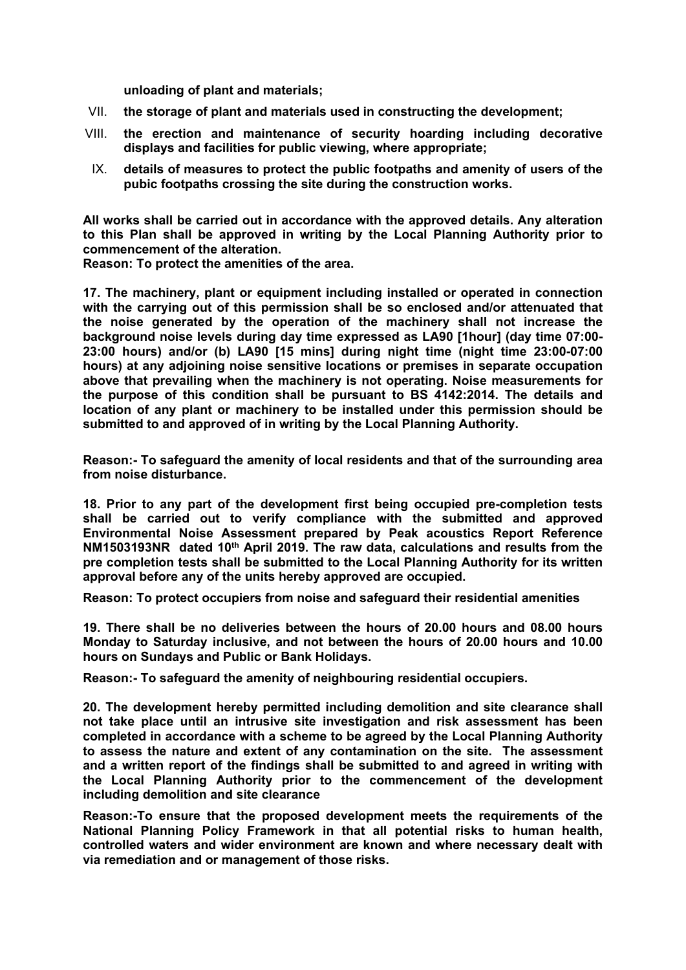**unloading of plant and materials;**

- VII. **the storage of plant and materials used in constructing the development;**
- VIII. **the erection and maintenance of security hoarding including decorative displays and facilities for public viewing, where appropriate;**
- IX. **details of measures to protect the public footpaths and amenity of users of the pubic footpaths crossing the site during the construction works.**

**All works shall be carried out in accordance with the approved details. Any alteration to this Plan shall be approved in writing by the Local Planning Authority prior to commencement of the alteration.**

**Reason: To protect the amenities of the area.**

**17. The machinery, plant or equipment including installed or operated in connection with the carrying out of this permission shall be so enclosed and/or attenuated that the noise generated by the operation of the machinery shall not increase the background noise levels during day time expressed as LA90 [1hour] (day time 07:00- 23:00 hours) and/or (b) LA90 [15 mins] during night time (night time 23:00-07:00 hours) at any adjoining noise sensitive locations or premises in separate occupation above that prevailing when the machinery is not operating. Noise measurements for the purpose of this condition shall be pursuant to BS 4142:2014. The details and location of any plant or machinery to be installed under this permission should be submitted to and approved of in writing by the Local Planning Authority.**

**Reason:- To safeguard the amenity of local residents and that of the surrounding area from noise disturbance.**

**18. Prior to any part of the development first being occupied pre-completion tests shall be carried out to verify compliance with the submitted and approved Environmental Noise Assessment prepared by Peak acoustics Report Reference NM1503193NR dated 10th April 2019. The raw data, calculations and results from the pre completion tests shall be submitted to the Local Planning Authority for its written approval before any of the units hereby approved are occupied.**

**Reason: To protect occupiers from noise and safeguard their residential amenities**

**19. There shall be no deliveries between the hours of 20.00 hours and 08.00 hours Monday to Saturday inclusive, and not between the hours of 20.00 hours and 10.00 hours on Sundays and Public or Bank Holidays.**

**Reason:- To safeguard the amenity of neighbouring residential occupiers.**

**20. The development hereby permitted including demolition and site clearance shall not take place until an intrusive site investigation and risk assessment has been completed in accordance with a scheme to be agreed by the Local Planning Authority to assess the nature and extent of any contamination on the site. The assessment and a written report of the findings shall be submitted to and agreed in writing with the Local Planning Authority prior to the commencement of the development including demolition and site clearance**

**Reason:-To ensure that the proposed development meets the requirements of the National Planning Policy Framework in that all potential risks to human health, controlled waters and wider environment are known and where necessary dealt with via remediation and or management of those risks.**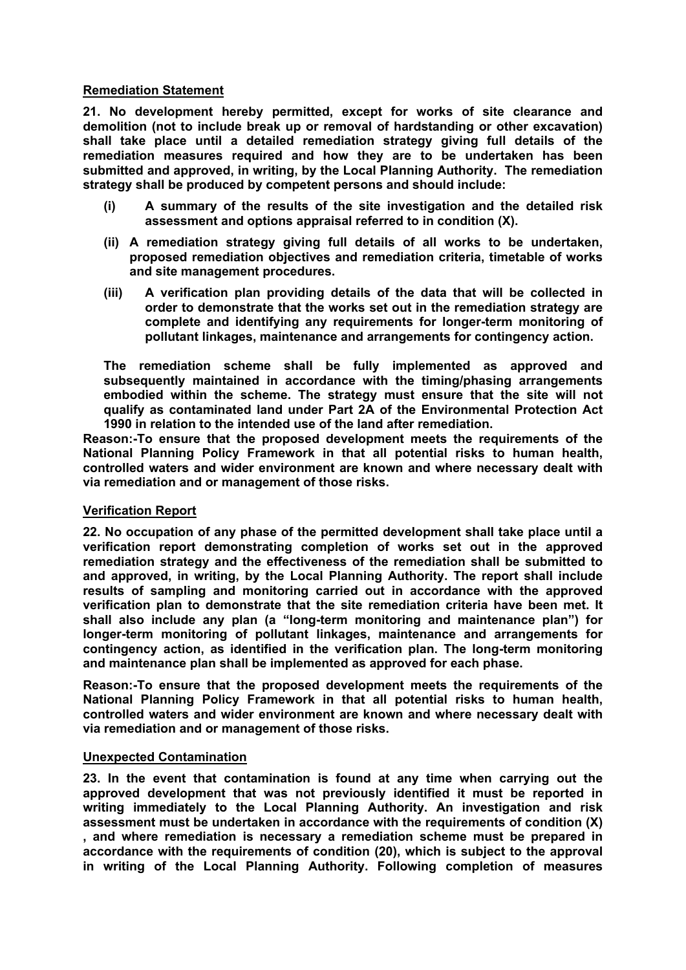### **Remediation Statement**

**21. No development hereby permitted, except for works of site clearance and demolition (not to include break up or removal of hardstanding or other excavation) shall take place until a detailed remediation strategy giving full details of the remediation measures required and how they are to be undertaken has been submitted and approved, in writing, by the Local Planning Authority. The remediation strategy shall be produced by competent persons and should include:**

- **(i) A summary of the results of the site investigation and the detailed risk assessment and options appraisal referred to in condition (X).**
- **(ii) A remediation strategy giving full details of all works to be undertaken, proposed remediation objectives and remediation criteria, timetable of works and site management procedures.**
- **(iii) A verification plan providing details of the data that will be collected in order to demonstrate that the works set out in the remediation strategy are complete and identifying any requirements for longer-term monitoring of pollutant linkages, maintenance and arrangements for contingency action.**

**The remediation scheme shall be fully implemented as approved and subsequently maintained in accordance with the timing/phasing arrangements embodied within the scheme. The strategy must ensure that the site will not qualify as contaminated land under Part 2A of the Environmental Protection Act 1990 in relation to the intended use of the land after remediation.**

**Reason:-To ensure that the proposed development meets the requirements of the National Planning Policy Framework in that all potential risks to human health, controlled waters and wider environment are known and where necessary dealt with via remediation and or management of those risks.**

#### **Verification Report**

**22. No occupation of any phase of the permitted development shall take place until a verification report demonstrating completion of works set out in the approved remediation strategy and the effectiveness of the remediation shall be submitted to and approved, in writing, by the Local Planning Authority. The report shall include results of sampling and monitoring carried out in accordance with the approved verification plan to demonstrate that the site remediation criteria have been met. It shall also include any plan (a "long-term monitoring and maintenance plan") for longer-term monitoring of pollutant linkages, maintenance and arrangements for contingency action, as identified in the verification plan. The long-term monitoring and maintenance plan shall be implemented as approved for each phase.**

**Reason:-To ensure that the proposed development meets the requirements of the National Planning Policy Framework in that all potential risks to human health, controlled waters and wider environment are known and where necessary dealt with via remediation and or management of those risks.**

#### **Unexpected Contamination**

**23. In the event that contamination is found at any time when carrying out the approved development that was not previously identified it must be reported in writing immediately to the Local Planning Authority. An investigation and risk assessment must be undertaken in accordance with the requirements of condition (X) , and where remediation is necessary a remediation scheme must be prepared in accordance with the requirements of condition (20), which is subject to the approval in writing of the Local Planning Authority. Following completion of measures**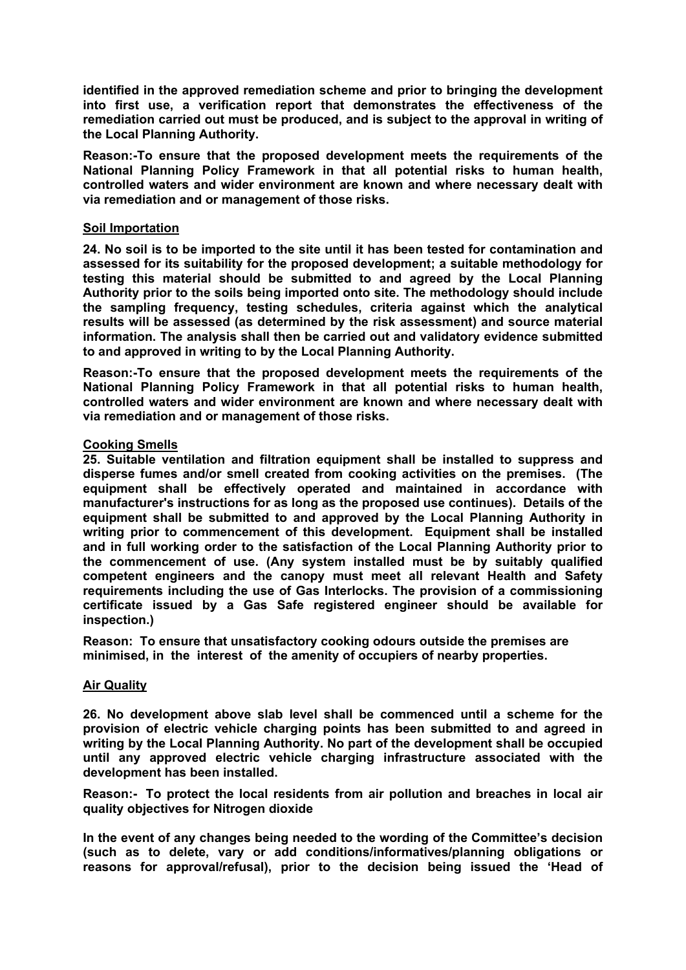**identified in the approved remediation scheme and prior to bringing the development into first use, a verification report that demonstrates the effectiveness of the remediation carried out must be produced, and is subject to the approval in writing of the Local Planning Authority.**

**Reason:-To ensure that the proposed development meets the requirements of the National Planning Policy Framework in that all potential risks to human health, controlled waters and wider environment are known and where necessary dealt with via remediation and or management of those risks.**

### **Soil Importation**

**24. No soil is to be imported to the site until it has been tested for contamination and assessed for its suitability for the proposed development; a suitable methodology for testing this material should be submitted to and agreed by the Local Planning Authority prior to the soils being imported onto site. The methodology should include the sampling frequency, testing schedules, criteria against which the analytical results will be assessed (as determined by the risk assessment) and source material information. The analysis shall then be carried out and validatory evidence submitted to and approved in writing to by the Local Planning Authority.**

**Reason:-To ensure that the proposed development meets the requirements of the National Planning Policy Framework in that all potential risks to human health, controlled waters and wider environment are known and where necessary dealt with via remediation and or management of those risks.**

### **Cooking Smells**

**25. Suitable ventilation and filtration equipment shall be installed to suppress and disperse fumes and/or smell created from cooking activities on the premises. (The equipment shall be effectively operated and maintained in accordance with manufacturer's instructions for as long as the proposed use continues). Details of the equipment shall be submitted to and approved by the Local Planning Authority in writing prior to commencement of this development. Equipment shall be installed and in full working order to the satisfaction of the Local Planning Authority prior to the commencement of use. (Any system installed must be by suitably qualified competent engineers and the canopy must meet all relevant Health and Safety requirements including the use of Gas Interlocks. The provision of a commissioning certificate issued by a Gas Safe registered engineer should be available for inspection.)**

**Reason: To ensure that unsatisfactory cooking odours outside the premises are minimised, in the interest of the amenity of occupiers of nearby properties.**

#### **Air Quality**

**26. No development above slab level shall be commenced until a scheme for the provision of electric vehicle charging points has been submitted to and agreed in writing by the Local Planning Authority. No part of the development shall be occupied until any approved electric vehicle charging infrastructure associated with the development has been installed.**

**Reason:- To protect the local residents from air pollution and breaches in local air quality objectives for Nitrogen dioxide**

**In the event of any changes being needed to the wording of the Committee's decision (such as to delete, vary or add conditions/informatives/planning obligations or reasons for approval/refusal), prior to the decision being issued the 'Head of**